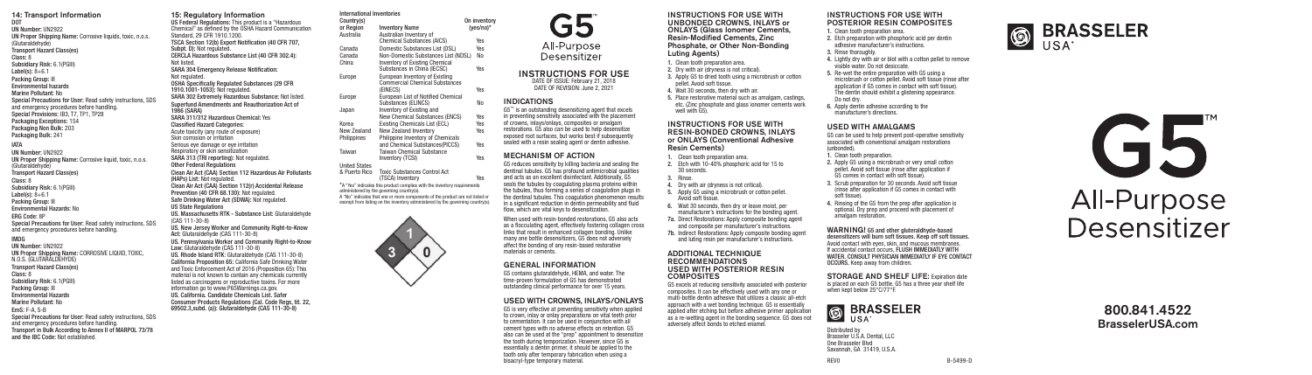#### 14: Transport Information DOT UN Number: UN2922 UN Proper Shipping Name: Corrosive liquids, toxic, n.o.s. (Glutaraldehyde) Transport Hazard Class(es) Class: 8 Subsidiary Risk: 6.1(PGIII) Label(s):  $8+6.1$ Packing Group: III Environmental hazards Marine Pollutant: No Special Precautions for User: Read safety instructions, SDS and emergency procedures before handling. Special Provisions: IB3, T7, TP1, TP28 Packaging Exceptions: 154 Packaging Non Bulk: 203 Packaging Bulk: 241 IATA UN Number: UN2922 UN Proper Shipping Name: Corrosive liquid, toxic, n.o.s. (Glutaraldehyde) Transport Hazard Class(es) Class: 8 Subsidiary Risk: 6.1(PGIII) Label(s):  $8+6.1$ Packing Group: III Environmental Hazards: No ERG Code: 8P Special Precautions for User: Read safety instructions, SDS and emergency procedures before handling. IMDG UN Number: UN2922 UN Proper Shipping Name: CORROSIVE LIQUID, TOXIC, N.O.S. (GLUTARALDEHYDE) Transport Hazard Class(es) Class: 8 Subsidiary Risk: 6.1(PGIII) Packing Group: III Environmental Hazards Marine Pollutant: No EmS: F-A, S-B Special Precautions for User: Read safety instructions, SDS and emergency procedures before handling. Transport in Bulk According to Annex II of MARPOL 73/78

and the IBC Code: Not established.

15: Regulatory Information US Federal Regulations: This product is a "Hazardous Chemical" as defined by the OSHA Hazard Communication Standard, 29 CFR 1910.1200. TSCA Section 12(b) Export Notification (40 CFR 707, Subpt. D): Not regulated. CERCLA Hazardous Substance List (40 CFR 302.4): Not listed. SARA 304 Emergency Release Notification: Not regulated. OSHA Specifically Regulated Substances (29 CFR 1910.1001-1053): Not regulated. SARA 302 Extremely Hazardous Substance: Not listed. Superfund Amendments and Reauthorization Act of 1986 (SARA) SARA 311/312 Hazardous Chemical: Yes Classified Hazard Categories: Acute toxicity (any route of exposure) Skin corrosion or irritation Serious eye damage or eye irritation Respiratory or skin sensitization SARA 313 (TRI reporting): Not regulated. **Other Federal Regulations** Clean Air Act (CAA) Section 112 Hazardous Air Pollutants (HAPs) List: Not regulated. Clean Air Act (CAA) Section 112(r) Accidental Release Prevention (40 CFR 68.130): Not regulated. Safe Drinking Water Act (SDWA): Not regulated. US State Regulations US. Massachusetts RTK - Substance List: Glutaraldehyde (CAS 111-30-8) US. New Jersey Worker and Community Right-to-Know Act: Glutaraldehyde (CAS 111-30-8) US. Pennsylvania Worker and Community Right-to-Know Law: Glutaraldehyde (CAS 111-30-8) US. Rhode Island RTK: Glutaraldehyde (CAS 111-30-8) California Proposition 65: California Safe Drinking Water and Toxic Enforcement Act of 2016 (Proposition 65): This International Inventories Country(s) Country(s) On inventory<br>or Region Inventory Name (ves/no)\* or Region Inventory Name<br>Australia Australian Invento Canada Domestic Substances List (DSL)<br>Canada Non-Domestic Substances List (L Canada Non-Domestic Substances List (NDSL) No Europe European Inventory of Existing (EINECS) Yes Europe European List of Notified Chemical Japan Inventory of Existing and Korea Existing Chemicals List (ECL) Yes<br>New Zealand New Zealand Inventory Yes New Zealand New Zealand Inventory Yes Philippines Philippine Inventory of Chemicals Taiwan Taiwan Chemical Substance United States & Puerto Rico Toxic Substances Control Act \*A "Yes" indicates this product complies with the inventory requirements administered by the governing country(s). A "No" indicates that one or more components of the product are not listed or exempt from listing on the inventory administered by the governing country(s).

material is not known to contain any chemicals currently listed as carcinogens or reproductive toxins. For more information go to www.P65Warnings.ca.gov. US. California. Candidate Chemicals List. Safer Consumer Products Regulations (Cal. Code Regs, tit. 22, 69502.3,subd. (a)): Glutaraldehyde (CAS 111-30-8)



All-Purpose Desensitizer

INSTRUCTIONS FOR USE DATE OF ISSUE: February 21, 2018 DATE OF REVISION: June 2, 2021

Australian Inventory of

Inventory of Existing Chemical Substances in China (IECSC) Yes

Commercial Chemical Substances<br>
(FINECS)

Chemical Substances (AICS) Yes<br>Domestic Substances List (DSL) Yes

Substances (ELINCS) No

New Chemical Substances (ENCS) Yes<br>Existing Chemicals List (ECL) Yes

and Chemical Substances(PICCS) Yes

Inventory (TCSI) Yes

(TSCA) Inventory Yes

 $\mathbf{0}$ 

 $INDICATIONS$ <br> $G5^{\omega}$  is an outstanding desensitizing agent that excels in preventing sensitivity associated with the placement of crowns, inlays/onlays, composites or amalgam restorations. G5 also can be used to help desensitize exposed root surfaces, but works best if subsequently sealed with a resin sealing agent or dentin adhesive.

## MECHANISM OF ACTION

G5 reduces sensitivity by killing bacteria and sealing the dentinal tubules. G5 has profound antimicrobial qualities and acts as an excellent disinfectant. Additionally, G5 seals the tubules by coagulating plasma proteins within the tubules, thus forming a series of coagulation plugs in the dentinal tubules. This coagulation phenomenon results in a significant reduction in dentin permeability and fluid flow, which are vital keys to desensitization.

When used with resin-bonded restorations, G5 also acts. as a flocculating agent, effectively fostering collagen cross links that result in enhanced collagen bonding. Unlike many one bottle desensitizers, G5 does not adversely affect the bonding of any resin-based restorative materials or cements.

## GENERAL INFORMATION

G5 contains glutaraldehyde, HEMA, and water. The time-proven formulation of G5 has demonstrated outstanding clinical performance for over 15 years.

## USED WITH CROWNS, INLAYS/ONLAYS

G5 is very effective at preventing sensitivity when applied to crown, inlay or onlay preparations on vital teeth prior to cementation. It can be used in conjunction with all cement types with no adverse effects on retention. G5 also can be used at the "prep" appointment to desensitize the tooth during temporization. However, since G5 is essentially a dentin primer, it should be applied to the tooth only after temporary fabrication when using a bisacryl-type temporary material.

#### INSTRUCTIONS FOR USE WITH UNBONDED CROWNS, INLAYS or ONLAYS (Glass Ionomer Cements, Resin-Modified Cements, Zinc Phosphate, or Other Non-Bonding Luting Agents) 1. Clean tooth preparation area. 2. Dry with air (dryness is not critical). 3. Apply G5 to dried tooth using a microbrush or cotton pellet. Avoid soft tissue. 4. Wait 30 seconds, then dry with air. 5. Place restorative material such as amalgam, castings, etc. (Zinc phosphate and glass ionomer cements work

INSTRUCTIONS FOR USE WITH RESIN-BONDED CROWNS, INLAYS or ONLAYS (Conventional Adhesive Resin Cements)

- 1. Clean tooth preparation area. 2. Etch with 10-40% phosphoric acid for 15 to
- 30 seconds. 3. Rinse.

well with G5).

- 4. Dry with air (dryness is not critical).
- 5. Apply G5 using a microbrush or cotton pellet. Avoid soft tissue.
- 6. Wait 30 seconds, then dry or leave moist, per
- manufacturer's instructions for the bonding agent. 7a. Direct Restorations: Apply composite bonding agent
- and composite per manufacturer's instructions. 7b. Indirect Restorations: Apply composite bonding agent
- and luting resin per manufacturer's instructions. ADDITIONAL TECHNIQUE

## RECOMMENDATIONS USED WITH POSTERIOR RESIN **COMPOSITES**

G5 excels at reducing sensitivity associated with posterior composites. It can be effectively used with any one or

multi-bottle dentin adhesive that utilizes a classic all-etch approach with a wet bonding technique. G5 is essentially applied after etching but before adhesive primer application as a re-wetting agent in the bonding sequence. G5 does no adversely affect bonds to etched enamel.

## INSTRUCTIONS FOR USE WITH POSTERIOR RESIN COMPOSITES

1. Clean tooth preparation area. 2. Etch preparation with phosphoric acid per dentin adhesive manufacturer's instructions. 3. Rinse thoroughly. 4. Lightly dry with air or blot with a cotton pellet to remove visible water. Do not desiccate. 5. Re-wet the entire preparation with G5 using a microbrush or cotton pellet. Avoid soft tissue (rinse after application if G5 comes in contact with soft tissue). The dentin should exhibit a glistening appearance. Do not dry. 6. Apply dentin adhesive according to the manufacturer's directions.

## USED WITH AMALGAMS

G5 can be used to help prevent post-operative sensitivity associated with conventional amalgam restorations (unbonded). 1. Clean tooth preparation.

- 2. Apply G5 using a microbrush or very small cotton pellet. Avoid soft tissue (rinse after application if G5 comes in contact with soft tissue).
- 3. Scrub preparation for 30 seconds. Avoid soft tissue (rinse after application if G5 comes in contact with soft tissue).
- 4. Rinsing of the G5 from the prep after application is optional. Dry prep and proceed with placement of amalgam restoration.

WARNING! G5 and other gluteraldhyde-based desensitizers will burn soft tissues. Keep off soft tissues. Avoid contact with eyes, skin, and mucous membranes.<br>If accidental contact occurs, FLUSH IMMEDIATLY WITH If accidental contact occurs, FLUSH IMMEDIATLY WITH WATER. CONSULT PHYSICIAN IMMEDIATLY IF EYE CONTACT OCCURS. Keep away from children.

STORAGE AND SHELF LIFE: Expiration date is placed on each G5 bottle. G5 has a three year shelf life when kept below 25°C/77°F.

**BRASSELER S** BR



**6** BRASSELER



800.841.4522 BrasselerUSA.com

REV0 B-5499-D